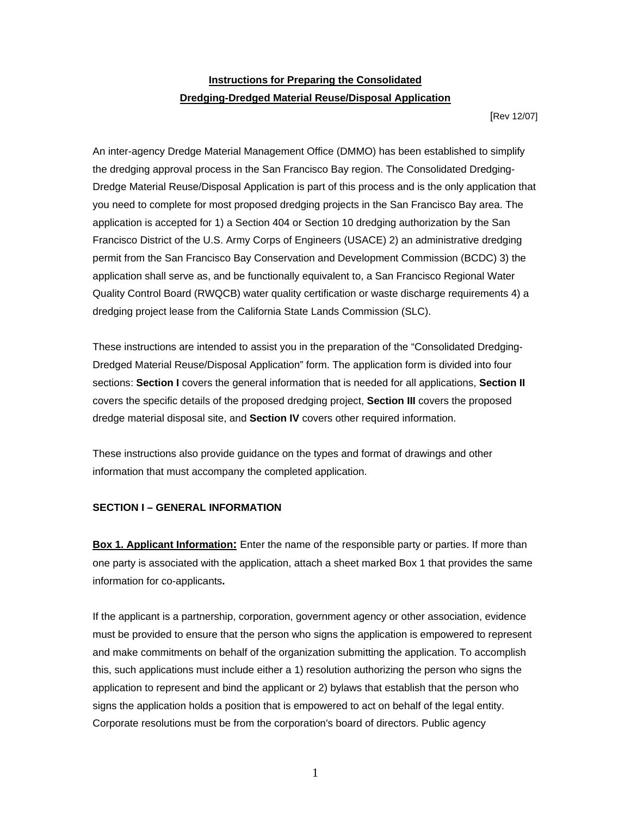## **Instructions for Preparing the Consolidated Dredging-Dredged Material Reuse/Disposal Application**

[Rev 12/07]

An inter-agency Dredge Material Management Office (DMMO) has been established to simplify the dredging approval process in the San Francisco Bay region. The Consolidated Dredging-Dredge Material Reuse/Disposal Application is part of this process and is the only application that you need to complete for most proposed dredging projects in the San Francisco Bay area. The application is accepted for 1) a Section 404 or Section 10 dredging authorization by the San Francisco District of the U.S. Army Corps of Engineers (USACE) 2) an administrative dredging permit from the San Francisco Bay Conservation and Development Commission (BCDC) 3) the application shall serve as, and be functionally equivalent to, a San Francisco Regional Water Quality Control Board (RWQCB) water quality certification or waste discharge requirements 4) a dredging project lease from the California State Lands Commission (SLC).

These instructions are intended to assist you in the preparation of the "Consolidated Dredging-Dredged Material Reuse/Disposal Application" form. The application form is divided into four sections: **Section I** covers the general information that is needed for all applications, **Section II**  covers the specific details of the proposed dredging project, **Section III** covers the proposed dredge material disposal site, and **Section IV** covers other required information.

These instructions also provide guidance on the types and format of drawings and other information that must accompany the completed application.

## **SECTION I – GENERAL INFORMATION**

**Box 1. Applicant Information:** Enter the name of the responsible party or parties. If more than one party is associated with the application, attach a sheet marked Box 1 that provides the same information for co-applicants**.** 

If the applicant is a partnership, corporation, government agency or other association, evidence must be provided to ensure that the person who signs the application is empowered to represent and make commitments on behalf of the organization submitting the application. To accomplish this, such applications must include either a 1) resolution authorizing the person who signs the application to represent and bind the applicant or 2) bylaws that establish that the person who signs the application holds a position that is empowered to act on behalf of the legal entity. Corporate resolutions must be from the corporation's board of directors. Public agency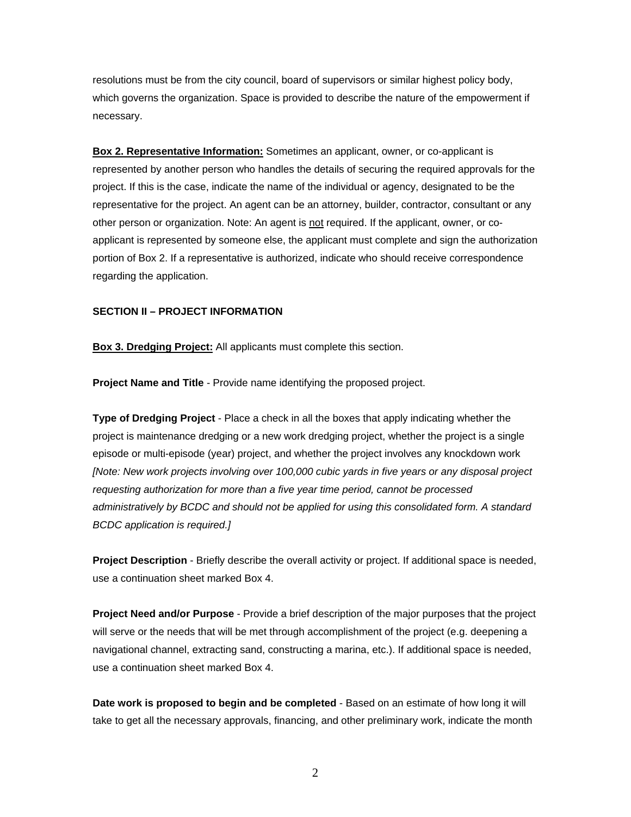resolutions must be from the city council, board of supervisors or similar highest policy body, which governs the organization. Space is provided to describe the nature of the empowerment if necessary.

**Box 2. Representative Information:** Sometimes an applicant, owner, or co-applicant is represented by another person who handles the details of securing the required approvals for the project. If this is the case, indicate the name of the individual or agency, designated to be the representative for the project. An agent can be an attorney, builder, contractor, consultant or any other person or organization. Note: An agent is not required. If the applicant, owner, or coapplicant is represented by someone else, the applicant must complete and sign the authorization portion of Box 2. If a representative is authorized, indicate who should receive correspondence regarding the application.

#### **SECTION II – PROJECT INFORMATION**

**Box 3. Dredging Project:** All applicants must complete this section.

**Project Name and Title** - Provide name identifying the proposed project.

**Type of Dredging Project** - Place a check in all the boxes that apply indicating whether the project is maintenance dredging or a new work dredging project, whether the project is a single episode or multi-episode (year) project, and whether the project involves any knockdown work *[Note: New work projects involving over 100,000 cubic yards in five years or any disposal project requesting authorization for more than a five year time period, cannot be processed administratively by BCDC and should not be applied for using this consolidated form. A standard BCDC application is required.]*

**Project Description** - Briefly describe the overall activity or project. If additional space is needed, use a continuation sheet marked Box 4.

**Project Need and/or Purpose** - Provide a brief description of the major purposes that the project will serve or the needs that will be met through accomplishment of the project (e.g. deepening a navigational channel, extracting sand, constructing a marina, etc.). If additional space is needed, use a continuation sheet marked Box 4.

**Date work is proposed to begin and be completed** - Based on an estimate of how long it will take to get all the necessary approvals, financing, and other preliminary work, indicate the month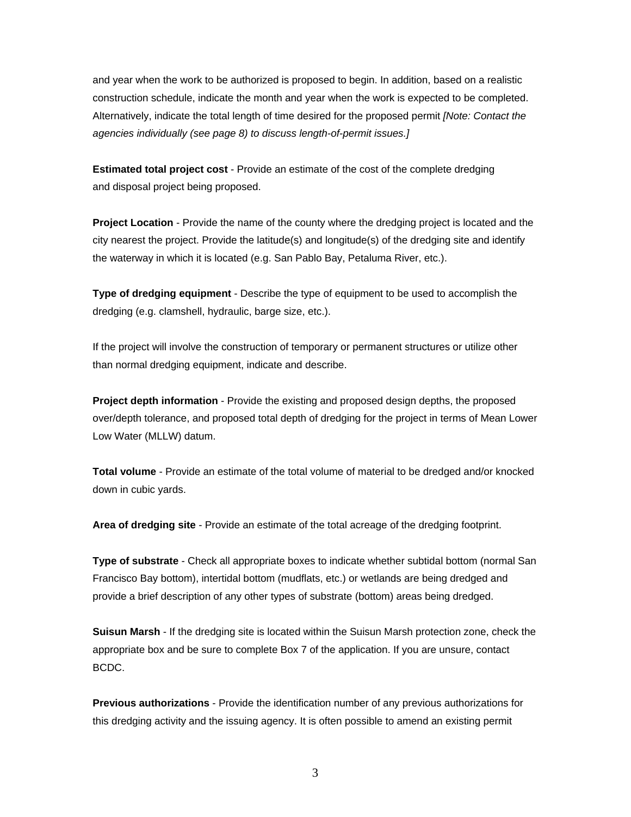and year when the work to be authorized is proposed to begin. In addition, based on a realistic construction schedule, indicate the month and year when the work is expected to be completed. Alternatively, indicate the total length of time desired for the proposed permit *[Note: Contact the agencies individually (see page 8) to discuss length-of-permit issues.]* 

**Estimated total project cost** - Provide an estimate of the cost of the complete dredging and disposal project being proposed.

**Project Location** - Provide the name of the county where the dredging project is located and the city nearest the project. Provide the latitude(s) and longitude(s) of the dredging site and identify the waterway in which it is located (e.g. San Pablo Bay, Petaluma River, etc.).

**Type of dredging equipment** - Describe the type of equipment to be used to accomplish the dredging (e.g. clamshell, hydraulic, barge size, etc.).

If the project will involve the construction of temporary or permanent structures or utilize other than normal dredging equipment, indicate and describe.

**Project depth information** - Provide the existing and proposed design depths, the proposed over/depth tolerance, and proposed total depth of dredging for the project in terms of Mean Lower Low Water (MLLW) datum.

**Total volume** - Provide an estimate of the total volume of material to be dredged and/or knocked down in cubic yards.

**Area of dredging site** - Provide an estimate of the total acreage of the dredging footprint.

**Type of substrate** - Check all appropriate boxes to indicate whether subtidal bottom (normal San Francisco Bay bottom), intertidal bottom (mudflats, etc.) or wetlands are being dredged and provide a brief description of any other types of substrate (bottom) areas being dredged.

**Suisun Marsh** - If the dredging site is located within the Suisun Marsh protection zone, check the appropriate box and be sure to complete Box 7 of the application. If you are unsure, contact BCDC.

**Previous authorizations** - Provide the identification number of any previous authorizations for this dredging activity and the issuing agency. It is often possible to amend an existing permit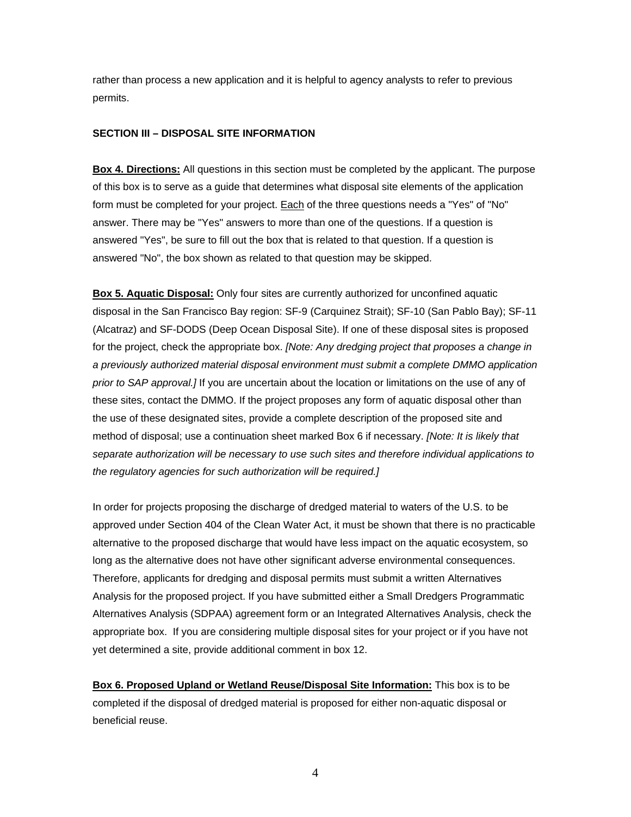rather than process a new application and it is helpful to agency analysts to refer to previous permits.

### **SECTION III – DISPOSAL SITE INFORMATION**

**Box 4. Directions:** All questions in this section must be completed by the applicant. The purpose of this box is to serve as a guide that determines what disposal site elements of the application form must be completed for your project. Each of the three questions needs a "Yes" of "No" answer. There may be "Yes" answers to more than one of the questions. If a question is answered "Yes", be sure to fill out the box that is related to that question. If a question is answered "No", the box shown as related to that question may be skipped.

**Box 5. Aquatic Disposal:** Only four sites are currently authorized for unconfined aquatic disposal in the San Francisco Bay region: SF-9 (Carquinez Strait); SF-10 (San Pablo Bay); SF-11 (Alcatraz) and SF-DODS (Deep Ocean Disposal Site). If one of these disposal sites is proposed for the project, check the appropriate box. *[Note: Any dredging project that proposes a change in a previously authorized material disposal environment must submit a complete DMMO application prior to SAP approval.]* If you are uncertain about the location or limitations on the use of any of these sites, contact the DMMO. If the project proposes any form of aquatic disposal other than the use of these designated sites, provide a complete description of the proposed site and method of disposal; use a continuation sheet marked Box 6 if necessary. *[Note: It is likely that separate authorization will be necessary to use such sites and therefore individual applications to the regulatory agencies for such authorization will be required.]*

In order for projects proposing the discharge of dredged material to waters of the U.S. to be approved under Section 404 of the Clean Water Act, it must be shown that there is no practicable alternative to the proposed discharge that would have less impact on the aquatic ecosystem, so long as the alternative does not have other significant adverse environmental consequences. Therefore, applicants for dredging and disposal permits must submit a written Alternatives Analysis for the proposed project. If you have submitted either a Small Dredgers Programmatic Alternatives Analysis (SDPAA) agreement form or an Integrated Alternatives Analysis, check the appropriate box. If you are considering multiple disposal sites for your project or if you have not yet determined a site, provide additional comment in box 12.

**Box 6. Proposed Upland or Wetland Reuse/Disposal Site Information:** This box is to be completed if the disposal of dredged material is proposed for either non-aquatic disposal or beneficial reuse.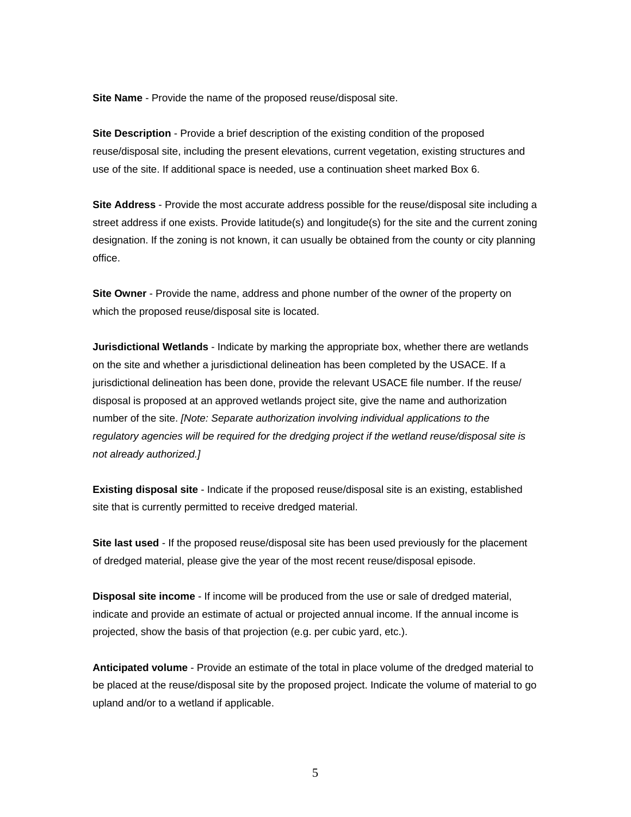**Site Name** - Provide the name of the proposed reuse/disposal site.

**Site Description** - Provide a brief description of the existing condition of the proposed reuse/disposal site, including the present elevations, current vegetation, existing structures and use of the site. If additional space is needed, use a continuation sheet marked Box 6.

**Site Address** - Provide the most accurate address possible for the reuse/disposal site including a street address if one exists. Provide latitude(s) and longitude(s) for the site and the current zoning designation. If the zoning is not known, it can usually be obtained from the county or city planning office.

**Site Owner** - Provide the name, address and phone number of the owner of the property on which the proposed reuse/disposal site is located.

**Jurisdictional Wetlands** - Indicate by marking the appropriate box, whether there are wetlands on the site and whether a jurisdictional delineation has been completed by the USACE. If a jurisdictional delineation has been done, provide the relevant USACE file number. If the reuse/ disposal is proposed at an approved wetlands project site, give the name and authorization number of the site. *[Note: Separate authorization involving individual applications to the regulatory agencies will be required for the dredging project if the wetland reuse/disposal site is not already authorized.]* 

**Existing disposal site** - Indicate if the proposed reuse/disposal site is an existing, established site that is currently permitted to receive dredged material.

**Site last used** - If the proposed reuse/disposal site has been used previously for the placement of dredged material, please give the year of the most recent reuse/disposal episode.

**Disposal site income** - If income will be produced from the use or sale of dredged material, indicate and provide an estimate of actual or projected annual income. If the annual income is projected, show the basis of that projection (e.g. per cubic yard, etc.).

**Anticipated volume** - Provide an estimate of the total in place volume of the dredged material to be placed at the reuse/disposal site by the proposed project. Indicate the volume of material to go upland and/or to a wetland if applicable.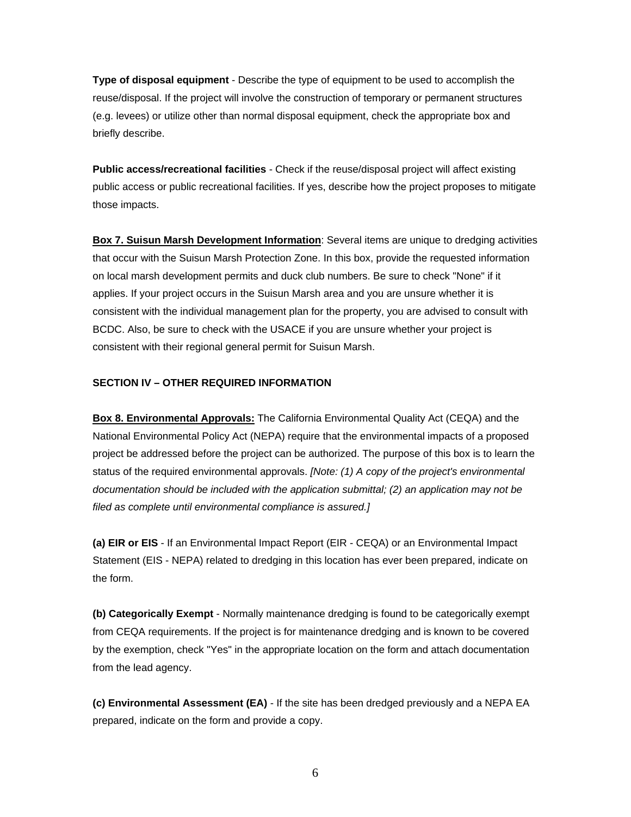**Type of disposal equipment** - Describe the type of equipment to be used to accomplish the reuse/disposal. If the project will involve the construction of temporary or permanent structures (e.g. levees) or utilize other than normal disposal equipment, check the appropriate box and briefly describe.

**Public access/recreational facilities** - Check if the reuse/disposal project will affect existing public access or public recreational facilities. If yes, describe how the project proposes to mitigate those impacts.

**Box 7. Suisun Marsh Development Information**: Several items are unique to dredging activities that occur with the Suisun Marsh Protection Zone. In this box, provide the requested information on local marsh development permits and duck club numbers. Be sure to check "None" if it applies. If your project occurs in the Suisun Marsh area and you are unsure whether it is consistent with the individual management plan for the property, you are advised to consult with BCDC. Also, be sure to check with the USACE if you are unsure whether your project is consistent with their regional general permit for Suisun Marsh.

### **SECTION IV – OTHER REQUIRED INFORMATION**

**Box 8. Environmental Approvals:** The California Environmental Quality Act (CEQA) and the National Environmental Policy Act (NEPA) require that the environmental impacts of a proposed project be addressed before the project can be authorized. The purpose of this box is to learn the status of the required environmental approvals. *[Note: (1) A copy of the project's environmental documentation should be included with the application submittal; (2) an application may not be filed as complete until environmental compliance is assured.]* 

**(a) EIR or EIS** - If an Environmental Impact Report (EIR - CEQA) or an Environmental Impact Statement (EIS - NEPA) related to dredging in this location has ever been prepared, indicate on the form.

**(b) Categorically Exempt** - Normally maintenance dredging is found to be categorically exempt from CEQA requirements. If the project is for maintenance dredging and is known to be covered by the exemption, check "Yes" in the appropriate location on the form and attach documentation from the lead agency.

**(c) Environmental Assessment (EA)** - If the site has been dredged previously and a NEPA EA prepared, indicate on the form and provide a copy.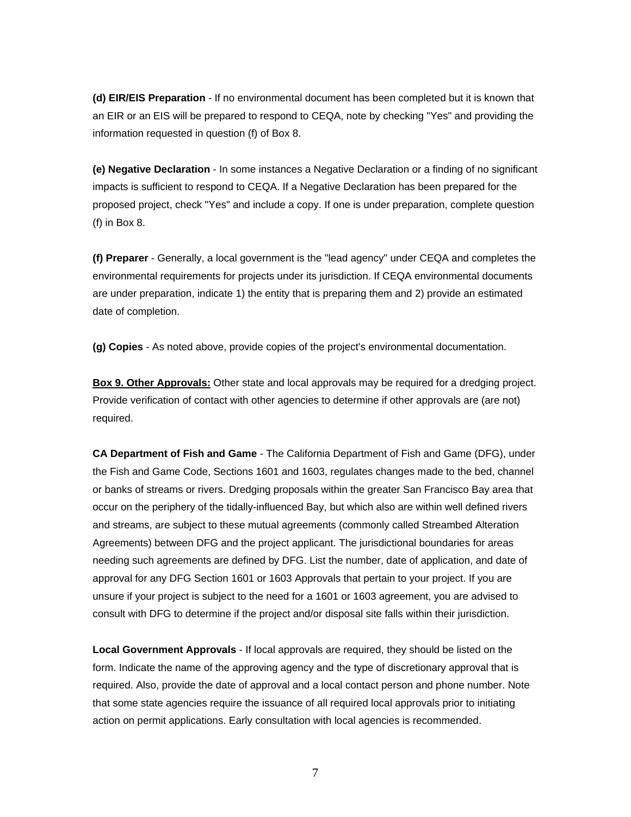**(d) EIR/EIS Preparation** - If no environmental document has been completed but it is known that an EIR or an EIS will be prepared to respond to CEQA, note by checking "Yes" and providing the information requested in question (f) of Box 8.

**(e) Negative Declaration** - In some instances a Negative Declaration or a finding of no significant impacts is sufficient to respond to CEQA. If a Negative Declaration has been prepared for the proposed project, check "Yes" and include a copy. If one is under preparation, complete question (f) in Box 8.

**(f) Preparer** - Generally, a local government is the "lead agency" under CEQA and completes the environmental requirements for projects under its jurisdiction. If CEQA environmental documents are under preparation, indicate 1) the entity that is preparing them and 2) provide an estimated date of completion.

**(g) Copies** - As noted above, provide copies of the project's environmental documentation.

**Box 9. Other Approvals:** Other state and local approvals may be required for a dredging project. Provide verification of contact with other agencies to determine if other approvals are (are not) required.

**CA Department of Fish and Game** - The California Department of Fish and Game (DFG), under the Fish and Game Code, Sections 1601 and 1603, regulates changes made to the bed, channel or banks of streams or rivers. Dredging proposals within the greater San Francisco Bay area that occur on the periphery of the tidally-influenced Bay, but which also are within well defined rivers and streams, are subject to these mutual agreements (commonly called Streambed Alteration Agreements) between DFG and the project applicant. The jurisdictional boundaries for areas needing such agreements are defined by DFG. List the number, date of application, and date of approval for any DFG Section 1601 or 1603 Approvals that pertain to your project. If you are unsure if your project is subject to the need for a 1601 or 1603 agreement, you are advised to consult with DFG to determine if the project and/or disposal site falls within their jurisdiction.

**Local Government Approvals** - If local approvals are required, they should be listed on the form. Indicate the name of the approving agency and the type of discretionary approval that is required. Also, provide the date of approval and a local contact person and phone number. Note that some state agencies require the issuance of all required local approvals prior to initiating action on permit applications. Early consultation with local agencies is recommended.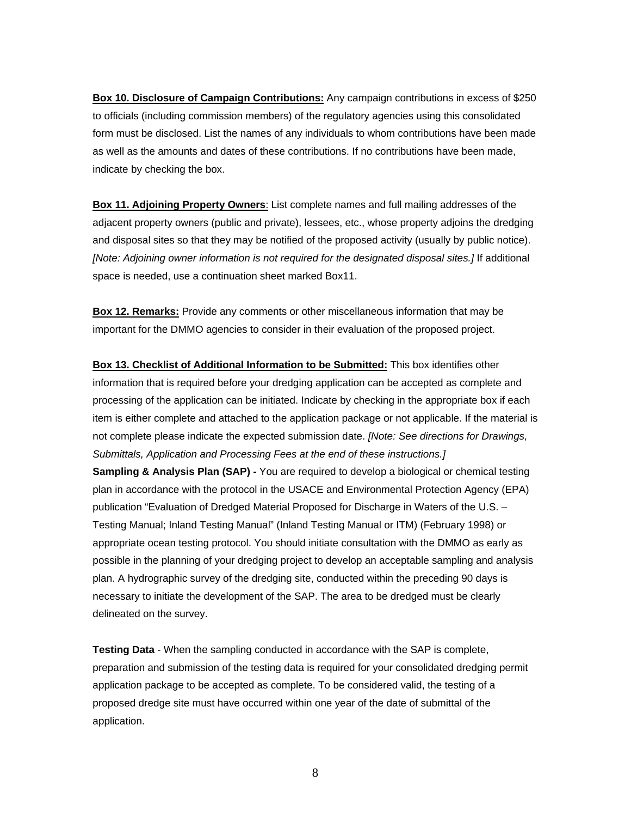**Box 10. Disclosure of Campaign Contributions:** Any campaign contributions in excess of \$250 to officials (including commission members) of the regulatory agencies using this consolidated form must be disclosed. List the names of any individuals to whom contributions have been made as well as the amounts and dates of these contributions. If no contributions have been made, indicate by checking the box.

**Box 11. Adjoining Property Owners**: List complete names and full mailing addresses of the adjacent property owners (public and private), lessees, etc., whose property adjoins the dredging and disposal sites so that they may be notified of the proposed activity (usually by public notice). *[Note: Adjoining owner information is not required for the designated disposal sites.]* If additional space is needed, use a continuation sheet marked Box11.

**Box 12. Remarks:** Provide any comments or other miscellaneous information that may be important for the DMMO agencies to consider in their evaluation of the proposed project.

**Box 13. Checklist of Additional Information to be Submitted:** This box identifies other information that is required before your dredging application can be accepted as complete and processing of the application can be initiated. Indicate by checking in the appropriate box if each item is either complete and attached to the application package or not applicable. If the material is not complete please indicate the expected submission date. *[Note: See directions for Drawings, Submittals, Application and Processing Fees at the end of these instructions.]*

**Sampling & Analysis Plan (SAP) -** You are required to develop a biological or chemical testing plan in accordance with the protocol in the USACE and Environmental Protection Agency (EPA) publication "Evaluation of Dredged Material Proposed for Discharge in Waters of the U.S. – Testing Manual; Inland Testing Manual" (Inland Testing Manual or ITM) (February 1998) or appropriate ocean testing protocol. You should initiate consultation with the DMMO as early as possible in the planning of your dredging project to develop an acceptable sampling and analysis plan. A hydrographic survey of the dredging site, conducted within the preceding 90 days is necessary to initiate the development of the SAP. The area to be dredged must be clearly delineated on the survey.

**Testing Data** - When the sampling conducted in accordance with the SAP is complete, preparation and submission of the testing data is required for your consolidated dredging permit application package to be accepted as complete. To be considered valid, the testing of a proposed dredge site must have occurred within one year of the date of submittal of the application.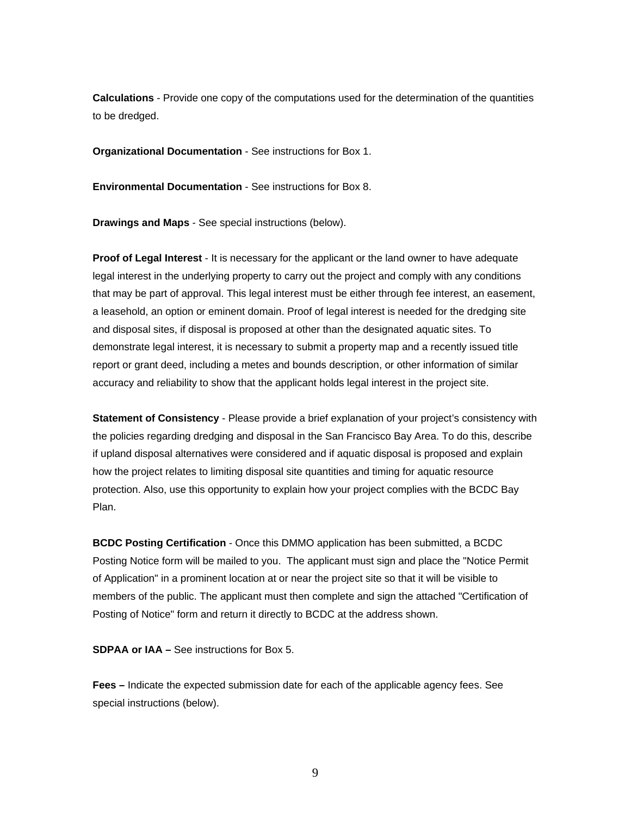**Calculations** - Provide one copy of the computations used for the determination of the quantities to be dredged.

**Organizational Documentation** - See instructions for Box 1.

**Environmental Documentation** - See instructions for Box 8.

**Drawings and Maps** - See special instructions (below).

**Proof of Legal Interest** - It is necessary for the applicant or the land owner to have adequate legal interest in the underlying property to carry out the project and comply with any conditions that may be part of approval. This legal interest must be either through fee interest, an easement, a leasehold, an option or eminent domain. Proof of legal interest is needed for the dredging site and disposal sites, if disposal is proposed at other than the designated aquatic sites. To demonstrate legal interest, it is necessary to submit a property map and a recently issued title report or grant deed, including a metes and bounds description, or other information of similar accuracy and reliability to show that the applicant holds legal interest in the project site.

**Statement of Consistency** - Please provide a brief explanation of your project's consistency with the policies regarding dredging and disposal in the San Francisco Bay Area. To do this, describe if upland disposal alternatives were considered and if aquatic disposal is proposed and explain how the project relates to limiting disposal site quantities and timing for aquatic resource protection. Also, use this opportunity to explain how your project complies with the BCDC Bay Plan.

**BCDC Posting Certification** - Once this DMMO application has been submitted, a BCDC Posting Notice form will be mailed to you. The applicant must sign and place the "Notice Permit of Application" in a prominent location at or near the project site so that it will be visible to members of the public. The applicant must then complete and sign the attached "Certification of Posting of Notice" form and return it directly to BCDC at the address shown.

**SDPAA or IAA –** See instructions for Box 5.

**Fees –** Indicate the expected submission date for each of the applicable agency fees. See special instructions (below).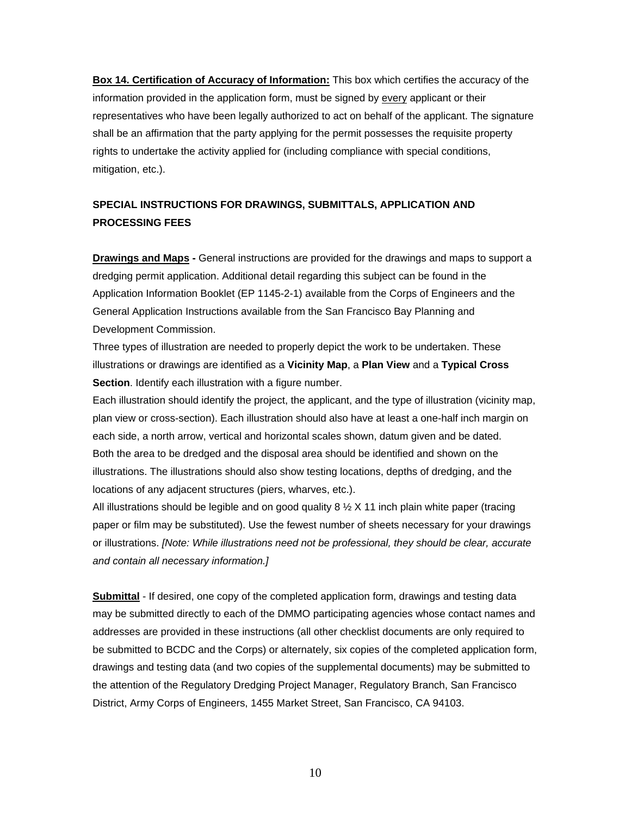**Box 14. Certification of Accuracy of Information:** This box which certifies the accuracy of the information provided in the application form, must be signed by every applicant or their representatives who have been legally authorized to act on behalf of the applicant. The signature shall be an affirmation that the party applying for the permit possesses the requisite property rights to undertake the activity applied for (including compliance with special conditions, mitigation, etc.).

## **SPECIAL INSTRUCTIONS FOR DRAWINGS, SUBMITTALS, APPLICATION AND PROCESSING FEES**

**Drawings and Maps -** General instructions are provided for the drawings and maps to support a dredging permit application. Additional detail regarding this subject can be found in the Application Information Booklet (EP 1145-2-1) available from the Corps of Engineers and the General Application Instructions available from the San Francisco Bay Planning and Development Commission.

Three types of illustration are needed to properly depict the work to be undertaken. These illustrations or drawings are identified as a **Vicinity Map**, a **Plan View** and a **Typical Cross Section**. Identify each illustration with a figure number.

Each illustration should identify the project, the applicant, and the type of illustration (vicinity map, plan view or cross-section). Each illustration should also have at least a one-half inch margin on each side, a north arrow, vertical and horizontal scales shown, datum given and be dated. Both the area to be dredged and the disposal area should be identified and shown on the illustrations. The illustrations should also show testing locations, depths of dredging, and the locations of any adjacent structures (piers, wharves, etc.).

All illustrations should be legible and on good quality  $8\frac{1}{2}$  X 11 inch plain white paper (tracing paper or film may be substituted). Use the fewest number of sheets necessary for your drawings or illustrations. *[Note: While illustrations need not be professional, they should be clear, accurate and contain all necessary information.]*

**Submittal** - If desired, one copy of the completed application form, drawings and testing data may be submitted directly to each of the DMMO participating agencies whose contact names and addresses are provided in these instructions (all other checklist documents are only required to be submitted to BCDC and the Corps) or alternately, six copies of the completed application form, drawings and testing data (and two copies of the supplemental documents) may be submitted to the attention of the Regulatory Dredging Project Manager, Regulatory Branch, San Francisco District, Army Corps of Engineers, 1455 Market Street, San Francisco, CA 94103.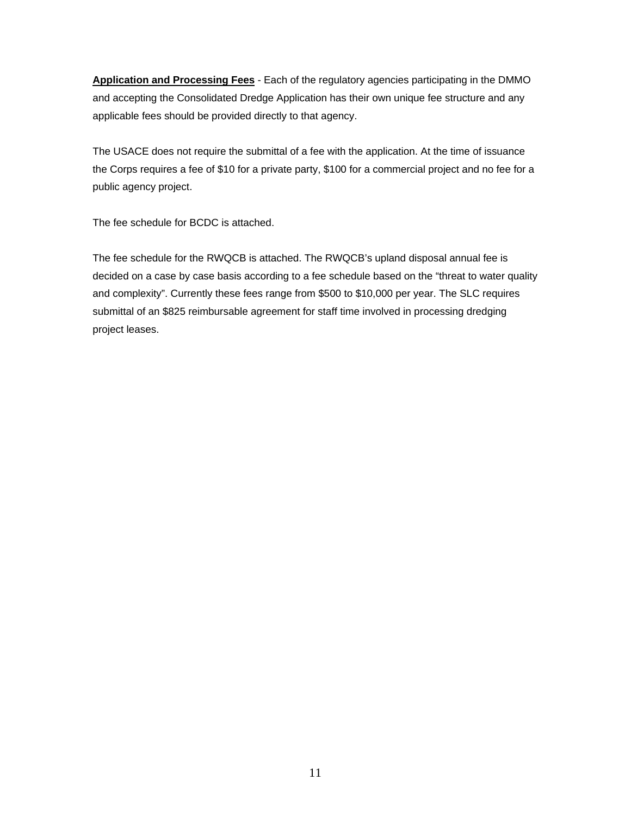**Application and Processing Fees** - Each of the regulatory agencies participating in the DMMO and accepting the Consolidated Dredge Application has their own unique fee structure and any applicable fees should be provided directly to that agency.

The USACE does not require the submittal of a fee with the application. At the time of issuance the Corps requires a fee of \$10 for a private party, \$100 for a commercial project and no fee for a public agency project.

The fee schedule for BCDC is attached.

The fee schedule for the RWQCB is attached. The RWQCB's upland disposal annual fee is decided on a case by case basis according to a fee schedule based on the "threat to water quality and complexity". Currently these fees range from \$500 to \$10,000 per year. The SLC requires submittal of an \$825 reimbursable agreement for staff time involved in processing dredging project leases.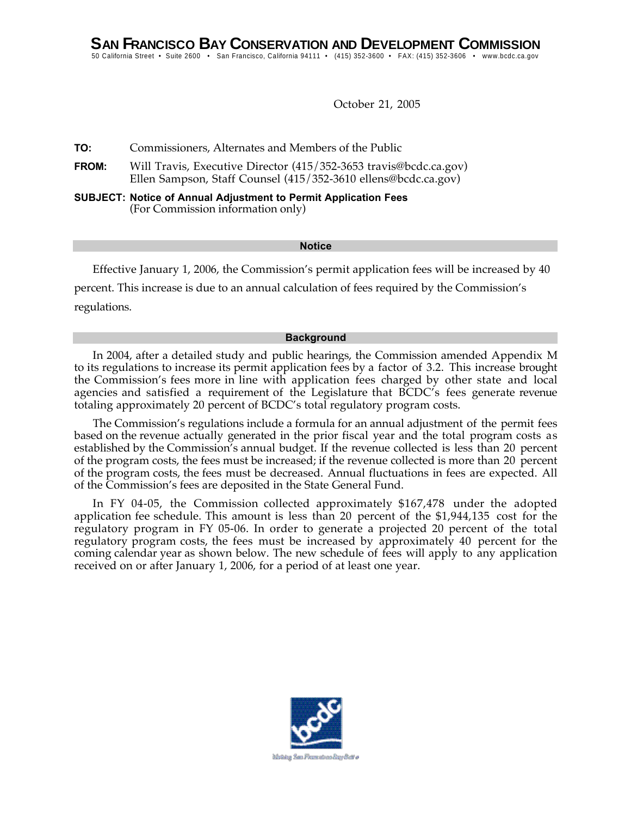October 21, 2005

**TO:** Commissioners, Alternates and Members of the Public

- **FROM:** Will Travis, Executive Director (415/352-3653 travis@bcdc.ca.gov) Ellen Sampson, Staff Counsel (415/352-3610 ellens@bcdc.ca.gov)
- **SUBJECT: Notice of Annual Adjustment to Permit Application Fees** (For Commission information only)

#### **Notice**

Effective January 1, 2006, the Commission's permit application fees will be increased by 40 percent. This increase is due to an annual calculation of fees required by the Commission's regulations.

#### **Background**

In 2004, after a detailed study and public hearings, the Commission amended Appendix M to its regulations to increase its permit application fees by a factor of 3.2. This increase brought the Commission's fees more in line with application fees charged by other state and local agencies and satisfied a requirement of the Legislature that BCDC's fees generate revenue totaling approximately 20 percent of BCDC's total regulatory program costs.

The Commission's regulations include a formula for an annual adjustment of the permit fees based on the revenue actually generated in the prior fiscal year and the total program costs as established by the Commission's annual budget. If the revenue collected is less than 20 percent of the program costs, the fees must be increased; if the revenue collected is more than 20 percent of the program costs, the fees must be decreased. Annual fluctuations in fees are expected. All of the Commission's fees are deposited in the State General Fund.

In FY 04-05, the Commission collected approximately \$167,478 under the adopted application fee schedule. This amount is less than 20 percent of the \$1,944,135 cost for the regulatory program in FY 05-06. In order to generate a projected 20 percent of the total regulatory program costs, the fees must be increased by approximately 40 percent for the coming calendar year as shown below. The new schedule of fees will apply to any application received on or after January 1, 2006, for a period of at least one year.

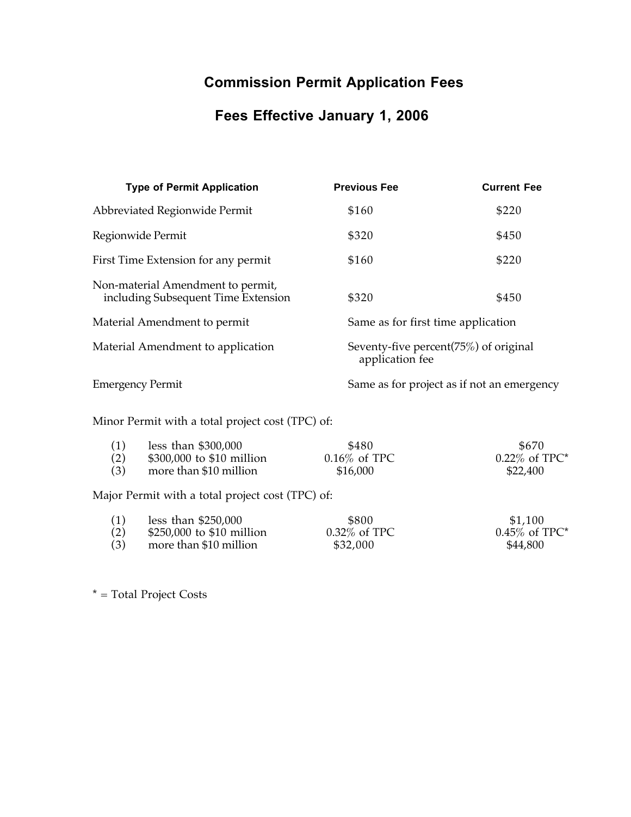# **Commission Permit Application Fees**

# **Fees Effective January 1, 2006**

| <b>Type of Permit Application</b>                                        | <b>Previous Fee</b> | <b>Current Fee</b>                         |  |
|--------------------------------------------------------------------------|---------------------|--------------------------------------------|--|
| Abbreviated Regionwide Permit                                            | \$160               | \$220                                      |  |
| Regionwide Permit                                                        | \$320               | \$450                                      |  |
| First Time Extension for any permit                                      | \$160               | \$220                                      |  |
| Non-material Amendment to permit,<br>including Subsequent Time Extension | \$320               | \$450                                      |  |
| Material Amendment to permit                                             |                     | Same as for first time application         |  |
| Material Amendment to application                                        | application fee     | Seventy-five percent(75%) of original      |  |
| <b>Emergency Permit</b>                                                  |                     | Same as for project as if not an emergency |  |
|                                                                          |                     |                                            |  |

Minor Permit with a total project cost (TPC) of:

| (1) | less than $$300,000$                             | \$480           | \$670            |
|-----|--------------------------------------------------|-----------------|------------------|
| (2) | \$300,000 to \$10 million                        | $0.16\%$ of TPC | $0.22\%$ of TPC* |
| (3) | more than \$10 million                           | \$16,000        | \$22,400         |
|     | Major Permit with a total project cost (TPC) of: |                 |                  |
| (1) | less than $$250,000$                             | \$800           | \$1,100          |
| (2) | \$250,000 to \$10 million                        | 0.32% of TPC    | $0.45\%$ of TPC* |
| (3) | more than \$10 million                           | \$32,000        | \$44,800         |

\* = Total Project Costs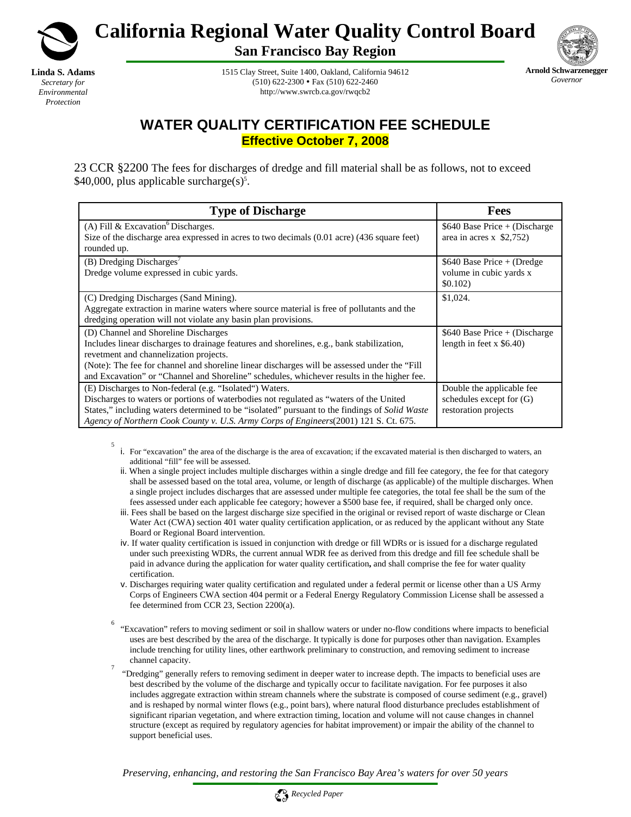

**Linda S. Adams**  *Secretary for Environmental Protection*

5

**California Regional Water Quality Control Board** 

**San Francisco Bay Region** 



1515 Clay Street, Suite 1400, Oakland, California 94612  $(510) 622 - 2300 \cdot \text{Fax} (510) 622 - 2460$ http://www.swrcb.ca.gov/rwqcb2

# **WATER QUALITY CERTIFICATION FEE SCHEDULE Effective October 7, 2008**

23 CCR §2200 The fees for discharges of dredge and fill material shall be as follows, not to exceed  $$40,000$ , plus applicable surcharge $(s)$ <sup>5</sup>.

| <b>Type of Discharge</b>                                                                                                                                                                                                                                                                                                                                                   | <b>Fees</b>                                                                   |
|----------------------------------------------------------------------------------------------------------------------------------------------------------------------------------------------------------------------------------------------------------------------------------------------------------------------------------------------------------------------------|-------------------------------------------------------------------------------|
| (A) Fill & Excavation <sup>6</sup> Discharges.<br>Size of the discharge area expressed in acres to two decimals (0.01 acre) (436 square feet)<br>rounded up.                                                                                                                                                                                                               | $$640$ Base Price + (Discharge)<br>area in acres $x$ \$2,752)                 |
| (B) Dredging Discharges'<br>Dredge volume expressed in cubic yards.                                                                                                                                                                                                                                                                                                        | $$640$ Base Price + (Dredge<br>volume in cubic yards x<br>\$0.102)            |
| (C) Dredging Discharges (Sand Mining).<br>Aggregate extraction in marine waters where source material is free of pollutants and the<br>dredging operation will not violate any basin plan provisions.                                                                                                                                                                      | \$1,024.                                                                      |
| (D) Channel and Shoreline Discharges<br>Includes linear discharges to drainage features and shorelines, e.g., bank stabilization,<br>revetment and channelization projects.<br>(Note): The fee for channel and shoreline linear discharges will be assessed under the "Fill"<br>and Excavation" or "Channel and Shoreline" schedules, whichever results in the higher fee. | $$640$ Base Price + (Discharge)<br>length in feet $x$ \$6.40)                 |
| (E) Discharges to Non-federal (e.g. "Isolated") Waters.<br>Discharges to waters or portions of waterbodies not regulated as "waters of the United"<br>States," including waters determined to be "isolated" pursuant to the findings of Solid Waste<br>Agency of Northern Cook County v. U.S. Army Corps of Engineers(2001) 121 S. Ct. 675.                                | Double the applicable fee<br>schedules except for (G)<br>restoration projects |

- i. For "excavation" the area of the discharge is the area of excavation; if the excavated material is then discharged to waters, an additional "fill" fee will be assessed.
- ii. When a single project includes multiple discharges within a single dredge and fill fee category, the fee for that category shall be assessed based on the total area, volume, or length of discharge (as applicable) of the multiple discharges. When a single project includes discharges that are assessed under multiple fee categories, the total fee shall be the sum of the fees assessed under each applicable fee category; however a \$500 base fee, if required, shall be charged only once.
- iii. Fees shall be based on the largest discharge size specified in the original or revised report of waste discharge or Clean Water Act (CWA) section 401 water quality certification application, or as reduced by the applicant without any State Board or Regional Board intervention.
- iv. If water quality certification is issued in conjunction with dredge or fill WDRs or is issued for a discharge regulated under such preexisting WDRs, the current annual WDR fee as derived from this dredge and fill fee schedule shall be paid in advance during the application for water quality certification**,** and shall comprise the fee for water quality certification.
- v. Discharges requiring water quality certification and regulated under a federal permit or license other than a US Army Corps of Engineers CWA section 404 permit or a Federal Energy Regulatory Commission License shall be assessed a fee determined from CCR 23, Section 2200(a).
- 6 "Excavation" refers to moving sediment or soil in shallow waters or under no-flow conditions where impacts to beneficial uses are best described by the area of the discharge. It typically is done for purposes other than navigation. Examples include trenching for utility lines, other earthwork preliminary to construction, and removing sediment to increase channel capacity.
- "Dredging" generally refers to removing sediment in deeper water to increase depth. The impacts to beneficial uses are best described by the volume of the discharge and typically occur to facilitate navigation. For fee purposes it also includes aggregate extraction within stream channels where the substrate is composed of course sediment (e.g., gravel) and is reshaped by normal winter flows (e.g., point bars), where natural flood disturbance precludes establishment of significant riparian vegetation, and where extraction timing, location and volume will not cause changes in channel structure (except as required by regulatory agencies for habitat improvement) or impair the ability of the channel to support beneficial uses.

*Preserving, enhancing, and restoring the San Francisco Bay Area's waters for over 50 years*